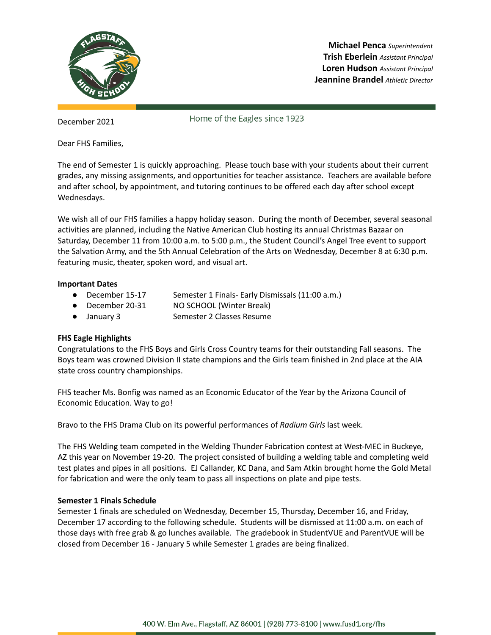

**Michael Penca** *Superintendent* **Trish Eberlein** *Assistant Principal* **Loren Hudson** *Assistant Principal* **Jeannine Brandel** *Athletic Director*

December 2021

Home of the Eagles since 1923

Dear FHS Families,

The end of Semester 1 is quickly approaching. Please touch base with your students about their current grades, any missing assignments, and opportunities for teacher assistance. Teachers are available before and after school, by appointment, and tutoring continues to be offered each day after school except Wednesdays.

We wish all of our FHS families a happy holiday season. During the month of December, several seasonal activities are planned, including the Native American Club hosting its annual Christmas Bazaar on Saturday, December 11 from 10:00 a.m. to 5:00 p.m., the Student Council's Angel Tree event to support the Salvation Army, and the 5th Annual Celebration of the Arts on Wednesday, December 8 at 6:30 p.m. featuring music, theater, spoken word, and visual art.

## **Important Dates**

- December 15-17 Semester 1 Finals- Early Dismissals (11:00 a.m.)
- December 20-31 NO SCHOOL (Winter Break)
- January 3 Semester 2 Classes Resume

## **FHS Eagle Highlights**

Congratulations to the FHS Boys and Girls Cross Country teams for their outstanding Fall seasons. The Boys team was crowned Division II state champions and the Girls team finished in 2nd place at the AIA state cross country championships.

FHS teacher Ms. Bonfig was named as an Economic Educator of the Year by the Arizona Council of Economic Education. Way to go!

Bravo to the FHS Drama Club on its powerful performances of *Radium Girls* last week.

The FHS Welding team competed in the Welding Thunder Fabrication contest at West-MEC in Buckeye, AZ this year on November 19-20. The project consisted of building a welding table and completing weld test plates and pipes in all positions. EJ Callander, KC Dana, and Sam Atkin brought home the Gold Metal for fabrication and were the only team to pass all inspections on plate and pipe tests.

## **Semester 1 Finals Schedule**

Semester 1 finals are scheduled on Wednesday, December 15, Thursday, December 16, and Friday, December 17 according to the following schedule. Students will be dismissed at 11:00 a.m. on each of those days with free grab & go lunches available. The gradebook in StudentVUE and ParentVUE will be closed from December 16 - January 5 while Semester 1 grades are being finalized.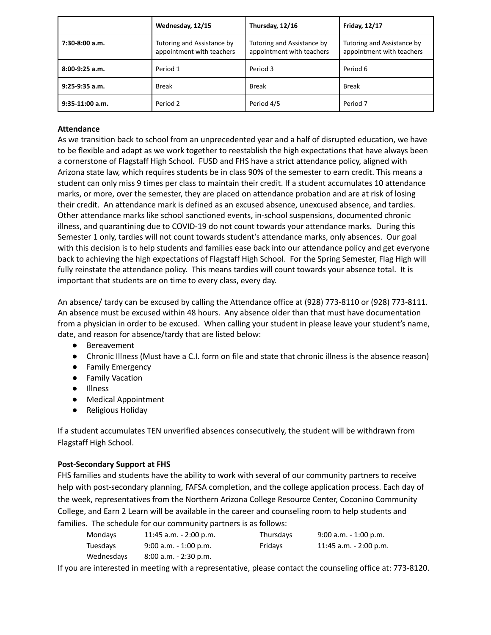|                   | Wednesday, 12/15                                        | Thursday, 12/16                                         | <b>Friday, 12/17</b>                                    |
|-------------------|---------------------------------------------------------|---------------------------------------------------------|---------------------------------------------------------|
| $7:30-8:00$ a.m.  | Tutoring and Assistance by<br>appointment with teachers | Tutoring and Assistance by<br>appointment with teachers | Tutoring and Assistance by<br>appointment with teachers |
| $8:00-9:25$ a.m.  | Period 1                                                | Period 3                                                | Period 6                                                |
| $9:25-9:35$ a.m.  | Break                                                   | <b>Break</b>                                            | <b>Break</b>                                            |
| $9:35-11:00$ a.m. | Period 2                                                | Period 4/5                                              | Period <sub>7</sub>                                     |

# **Attendance**

As we transition back to school from an unprecedented year and a half of disrupted education, we have to be flexible and adapt as we work together to reestablish the high expectations that have always been a cornerstone of Flagstaff High School. FUSD and FHS have a strict attendance policy, aligned with Arizona state law, which requires students be in class 90% of the semester to earn credit. This means a student can only miss 9 times per class to maintain their credit. If a student accumulates 10 attendance marks, or more, over the semester, they are placed on attendance probation and are at risk of losing their credit. An attendance mark is defined as an excused absence, unexcused absence, and tardies. Other attendance marks like school sanctioned events, in-school suspensions, documented chronic illness, and quarantining due to COVID-19 do not count towards your attendance marks. During this Semester 1 only, tardies will not count towards student's attendance marks, only absences. Our goal with this decision is to help students and families ease back into our attendance policy and get everyone back to achieving the high expectations of Flagstaff High School. For the Spring Semester, Flag High will fully reinstate the attendance policy. This means tardies will count towards your absence total. It is important that students are on time to every class, every day.

An absence/ tardy can be excused by calling the Attendance office at (928) 773-8110 or (928) 773-8111. An absence must be excused within 48 hours. Any absence older than that must have documentation from a physician in order to be excused. When calling your student in please leave your student's name, date, and reason for absence/tardy that are listed below:

- Bereavement
- Chronic Illness (Must have a C.I. form on file and state that chronic illness is the absence reason)
- Family Emergency
- Family Vacation
- Illness
- Medical Appointment
- Religious Holiday

If a student accumulates TEN unverified absences consecutively, the student will be withdrawn from Flagstaff High School.

## **Post-Secondary Support at FHS**

FHS families and students have the ability to work with several of our community partners to receive help with post-secondary planning, FAFSA completion, and the college application process. Each day of the week, representatives from the Northern Arizona College Resource Center, Coconino Community College, and Earn 2 Learn will be available in the career and counseling room to help students and families. The schedule for our community partners is as follows:

| Mondays    | $11:45$ a.m. $-2:00$ p.m. | Thursdays | $9:00$ a.m. $-1:00$ p.m. |
|------------|---------------------------|-----------|--------------------------|
| Tuesdays   | $9:00$ a.m. $-1:00$ p.m.  | Fridays   | $11:45$ a.m. - 2:00 p.m. |
| Wednesdays | $8:00$ a.m. $-2:30$ p.m.  |           |                          |

If you are interested in meeting with a representative, please contact the counseling office at: 773-8120.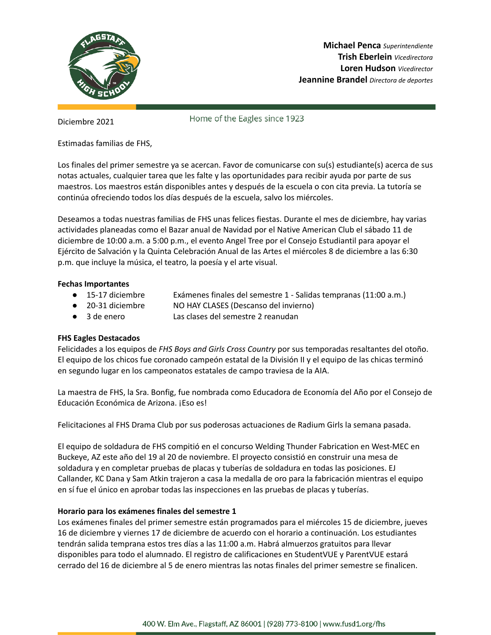

**Michael Penca** *Superintendiente* **Trish Eberlein** *Vicedirectora* **Loren Hudson** *Vicedirector* **Jeannine Brandel** *Directora de deportes*

Diciembre 2021

Home of the Eagles since 1923

Estimadas familias de FHS,

Los finales del primer semestre ya se acercan. Favor de comunicarse con su(s) estudiante(s) acerca de sus notas actuales, cualquier tarea que les falte y las oportunidades para recibir ayuda por parte de sus maestros. Los maestros están disponibles antes y después de la escuela o con cita previa. La tutoría se continúa ofreciendo todos los días después de la escuela, salvo los miércoles.

Deseamos a todas nuestras familias de FHS unas felices fiestas. Durante el mes de diciembre, hay varias actividades planeadas como el Bazar anual de Navidad por el Native American Club el sábado 11 de diciembre de 10:00 a.m. a 5:00 p.m., el evento Angel Tree por el Consejo Estudiantil para apoyar el Ejército de Salvación y la Quinta Celebración Anual de las Artes el miércoles 8 de diciembre a las 6:30 p.m. que incluye la música, el teatro, la poesía y el arte visual.

### **Fechas Importantes**

- 15-17 diciembre Exámenes finales del semestre 1 Salidas tempranas (11:00 a.m.)
- 20-31 diciembre NO HAY CLASES (Descanso del invierno)
- 3 de enero Las clases del semestre 2 reanudan

## **FHS Eagles Destacados**

Felicidades a los equipos de *FHS Boys and Girls Cross Country* por sus temporadas resaltantes del otoño. El equipo de los chicos fue coronado campeón estatal de la División II y el equipo de las chicas terminó en segundo lugar en los campeonatos estatales de campo traviesa de la AIA.

La maestra de FHS, la Sra. Bonfig, fue nombrada como Educadora de Economía del Año por el Consejo de Educación Económica de Arizona. ¡Eso es!

Felicitaciones al FHS Drama Club por sus poderosas actuaciones de Radium Girls la semana pasada.

El equipo de soldadura de FHS compitió en el concurso Welding Thunder Fabrication en West-MEC en Buckeye, AZ este año del 19 al 20 de noviembre. El proyecto consistió en construir una mesa de soldadura y en completar pruebas de placas y tuberías de soldadura en todas las posiciones. EJ Callander, KC Dana y Sam Atkin trajeron a casa la medalla de oro para la fabricación mientras el equipo en sí fue el único en aprobar todas las inspecciones en las pruebas de placas y tuberías.

## **Horario para los exámenes finales del semestre 1**

Los exámenes finales del primer semestre están programados para el miércoles 15 de diciembre, jueves 16 de diciembre y viernes 17 de diciembre de acuerdo con el horario a continuación. Los estudiantes tendrán salida temprana estos tres días a las 11:00 a.m. Habrá almuerzos gratuitos para llevar disponibles para todo el alumnado. El registro de calificaciones en StudentVUE y ParentVUE estará cerrado del 16 de diciembre al 5 de enero mientras las notas finales del primer semestre se finalicen.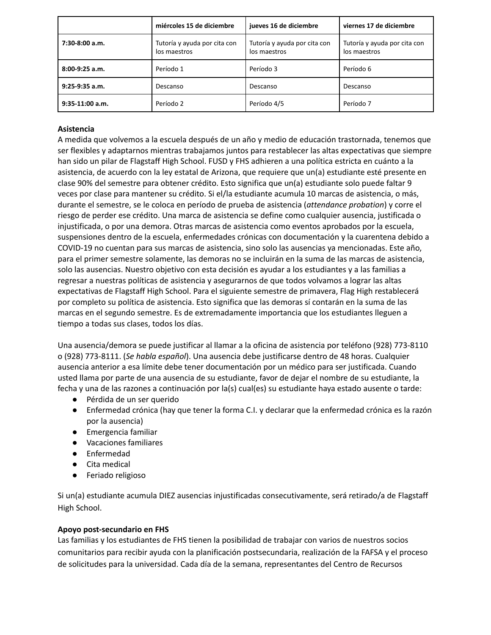|                   | miércoles 15 de diciembre                    | jueves 16 de diciembre                       | viernes 17 de diciembre                      |
|-------------------|----------------------------------------------|----------------------------------------------|----------------------------------------------|
| $7:30-8:00$ a.m.  | Tutoría y ayuda por cita con<br>los maestros | Tutoría y ayuda por cita con<br>los maestros | Tutoría y ayuda por cita con<br>los maestros |
| $8:00-9:25$ a.m.  | Período 1                                    | Período 3                                    | Período 6                                    |
| $9:25-9:35$ a.m.  | Descanso                                     | Descanso                                     | Descanso                                     |
| $9:35-11:00$ a.m. | Período 2                                    | Período 4/5                                  | Período 7                                    |

# **Asistencia**

A medida que volvemos a la escuela después de un año y medio de educación trastornada, tenemos que ser flexibles y adaptarnos mientras trabajamos juntos para restablecer las altas expectativas que siempre han sido un pilar de Flagstaff High School. FUSD y FHS adhieren a una política estricta en cuánto a la asistencia, de acuerdo con la ley estatal de Arizona, que requiere que un(a) estudiante esté presente en clase 90% del semestre para obtener crédito. Esto significa que un(a) estudiante solo puede faltar 9 veces por clase para mantener su crédito. Si el/la estudiante acumula 10 marcas de asistencia, o más, durante el semestre, se le coloca en período de prueba de asistencia (*attendance probation*) y corre el riesgo de perder ese crédito. Una marca de asistencia se define como cualquier ausencia, justificada o injustificada, o por una demora. Otras marcas de asistencia como eventos aprobados por la escuela, suspensiones dentro de la escuela, enfermedades crónicas con documentación y la cuarentena debido a COVID-19 no cuentan para sus marcas de asistencia, sino solo las ausencias ya mencionadas. Este año, para el primer semestre solamente, las demoras no se incluirán en la suma de las marcas de asistencia, solo las ausencias. Nuestro objetivo con esta decisión es ayudar a los estudiantes y a las familias a regresar a nuestras políticas de asistencia y asegurarnos de que todos volvamos a lograr las altas expectativas de Flagstaff High School. Para el siguiente semestre de primavera, Flag High restablecerá por completo su política de asistencia. Esto significa que las demoras sí contarán en la suma de las marcas en el segundo semestre. Es de extremadamente importancia que los estudiantes lleguen a tiempo a todas sus clases, todos los días.

Una ausencia/demora se puede justificar al llamar a la oficina de asistencia por teléfono (928) 773-8110 o (928) 773-8111. (*Se habla español*). Una ausencia debe justificarse dentro de 48 horas. Cualquier ausencia anterior a esa límite debe tener documentación por un médico para ser justificada. Cuando usted llama por parte de una ausencia de su estudiante, favor de dejar el nombre de su estudiante, la fecha y una de las razones a continuación por la(s) cual(es) su estudiante haya estado ausente o tarde:

- Pérdida de un ser querido
- Enfermedad crónica (hay que tener la forma C.I. y declarar que la enfermedad crónica es la razón por la ausencia)
- Emergencia familiar
- Vacaciones familiares
- Enfermedad
- Cita medical
- Feriado religioso

Si un(a) estudiante acumula DIEZ ausencias injustificadas consecutivamente, será retirado/a de Flagstaff High School.

## **Apoyo post-secundario en FHS**

Las familias y los estudiantes de FHS tienen la posibilidad de trabajar con varios de nuestros socios comunitarios para recibir ayuda con la planificación postsecundaria, realización de la FAFSA y el proceso de solicitudes para la universidad. Cada día de la semana, representantes del Centro de Recursos